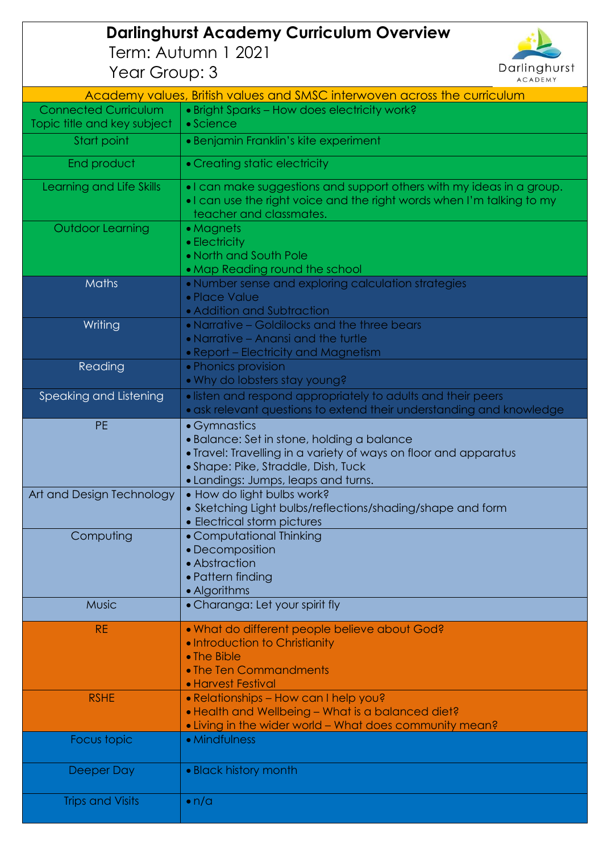## **Darlinghurst Academy Curriculum Overview** Term: Autumn 1 2021 Year Group: 3



| $20 - 100 - 100$            | <b>ACADEMY</b>                                                                                                                                                             |
|-----------------------------|----------------------------------------------------------------------------------------------------------------------------------------------------------------------------|
|                             | Academy values, British values and SMSC interwoven across the curriculum                                                                                                   |
| <b>Connected Curriculum</b> | . Bright Sparks - How does electricity work?                                                                                                                               |
| Topic title and key subject | $\bullet$ Science                                                                                                                                                          |
| Start point                 | • Benjamin Franklin's kite experiment                                                                                                                                      |
| End product                 | • Creating static electricity                                                                                                                                              |
| Learning and Life Skills    | . I can make suggestions and support others with my ideas in a group.<br>. I can use the right voice and the right words when I'm talking to my<br>teacher and classmates. |
| Outdoor Learning            | • Magnets                                                                                                                                                                  |
|                             | • Electricity                                                                                                                                                              |
|                             | • North and South Pole                                                                                                                                                     |
|                             | • Map Reading round the school                                                                                                                                             |
| Maths                       | • Number sense and exploring calculation strategies<br>• Place Value<br>• Addition and Subtraction                                                                         |
| Writing                     | • Narrative – Goldilocks and the three bears                                                                                                                               |
|                             | • Narrative - Anansi and the turtle                                                                                                                                        |
|                             | • Report - Electricity and Magnetism                                                                                                                                       |
| Reading                     | • Phonics provision                                                                                                                                                        |
|                             | . Why do lobsters stay young?                                                                                                                                              |
| Speaking and Listening      | • listen and respond appropriately to adults and their peers<br>· ask relevant questions to extend their understanding and knowledge                                       |
| <b>PE</b>                   | • Gymnastics                                                                                                                                                               |
|                             | • Balance: Set in stone, holding a balance                                                                                                                                 |
|                             | • Travel: Travelling in a variety of ways on floor and apparatus                                                                                                           |
|                             | • Shape: Pike, Straddle, Dish, Tuck                                                                                                                                        |
|                             | • Landings: Jumps, leaps and turns.                                                                                                                                        |
| Art and Design Technology   | . How do light bulbs work?                                                                                                                                                 |
|                             | • Sketching Light bulbs/reflections/shading/shape and form                                                                                                                 |
|                             | • Electrical storm pictures                                                                                                                                                |
| Computing                   | • Computational Thinking                                                                                                                                                   |
|                             | • Decomposition                                                                                                                                                            |
|                             | • Abstraction                                                                                                                                                              |
|                             | • Pattern finding                                                                                                                                                          |
| <b>Music</b>                | • Algorithms<br>• Charanga: Let your spirit fly                                                                                                                            |
|                             |                                                                                                                                                                            |
| <b>RE</b>                   | . What do different people believe about God?                                                                                                                              |
|                             | . Introduction to Christianity                                                                                                                                             |
|                             | • The Bible                                                                                                                                                                |
|                             | • The Ten Commandments                                                                                                                                                     |
|                             | • Harvest Festival                                                                                                                                                         |
| <b>RSHE</b>                 | • Relationships - How can I help you?                                                                                                                                      |
|                             | . Health and Wellbeing - What is a balanced diet?                                                                                                                          |
|                             | • Living in the wider world - What does community mean?                                                                                                                    |
| Focus topic                 | • Mindfulness                                                                                                                                                              |
| Deeper Day                  | • Black history month                                                                                                                                                      |
| <b>Trips and Visits</b>     | $\bullet$ n/a                                                                                                                                                              |